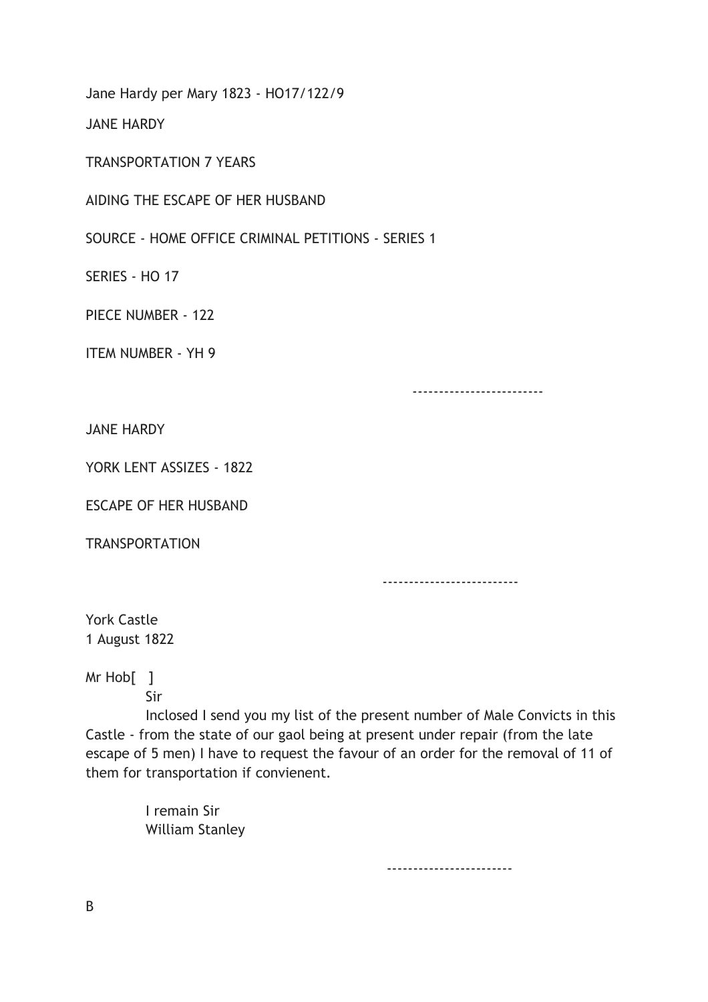Jane Hardy per Mary 1823 - HO17/122/9

JANE HARDY

TRANSPORTATION 7 YEARS

AIDING THE ESCAPE OF HER HUSBAND

SOURCE - HOME OFFICE CRIMINAL PETITIONS - SERIES 1

SERIES - HO 17

PIECE NUMBER - 122

ITEM NUMBER - YH 9

-------------------------

JANE HARDY

YORK LENT ASSIZES - 1822

ESCAPE OF HER HUSBAND

**TRANSPORTATION** 

--------------------------

York Castle 1 August 1822

Mr Hob[ ]

Sir

 Inclosed I send you my list of the present number of Male Convicts in this Castle - from the state of our gaol being at present under repair (from the late escape of 5 men) I have to request the favour of an order for the removal of 11 of them for transportation if convienent.

> I remain Sir William Stanley

> > ------------------------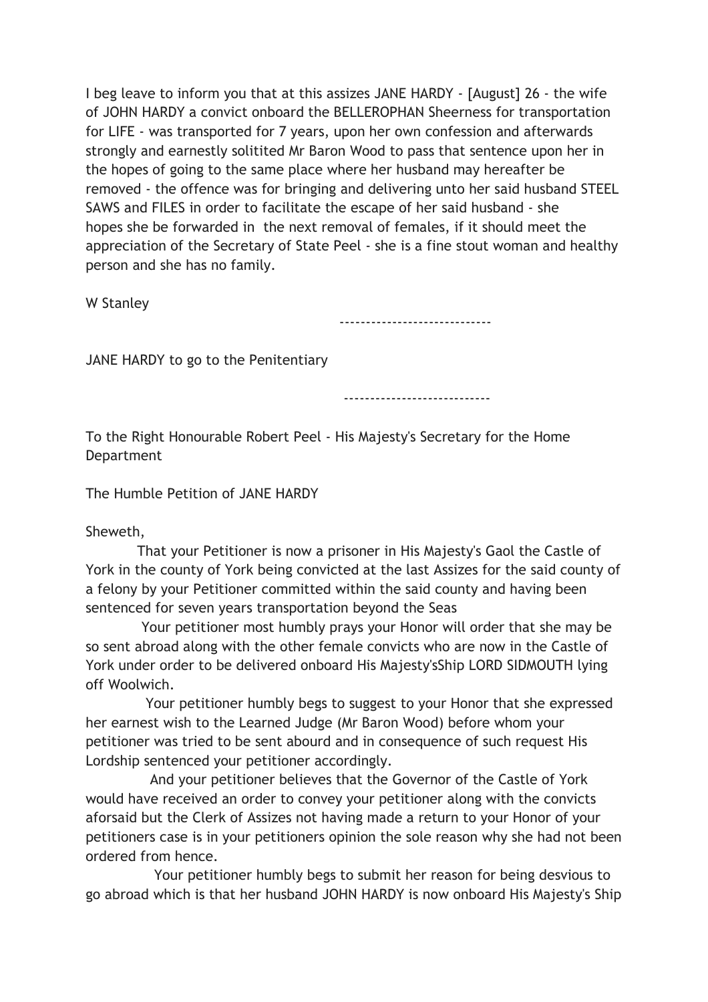I beg leave to inform you that at this assizes JANE HARDY - [August] 26 - the wife of JOHN HARDY a convict onboard the BELLEROPHAN Sheerness for transportation for LIFE - was transported for 7 years, upon her own confession and afterwards strongly and earnestly solitited Mr Baron Wood to pass that sentence upon her in the hopes of going to the same place where her husband may hereafter be removed - the offence was for bringing and delivering unto her said husband STEEL SAWS and FILES in order to facilitate the escape of her said husband - she hopes she be forwarded in the next removal of females, if it should meet the appreciation of the Secretary of State Peel - she is a fine stout woman and healthy person and she has no family.

W Stanley

-----------------------------

JANE HARDY to go to the Penitentiary

----------------------------

To the Right Honourable Robert Peel - His Majesty's Secretary for the Home Department

The Humble Petition of JANE HARDY

Sheweth,

 That your Petitioner is now a prisoner in His Majesty's Gaol the Castle of York in the county of York being convicted at the last Assizes for the said county of a felony by your Petitioner committed within the said county and having been sentenced for seven years transportation beyond the Seas

 Your petitioner most humbly prays your Honor will order that she may be so sent abroad along with the other female convicts who are now in the Castle of York under order to be delivered onboard His Majesty'sShip LORD SIDMOUTH lying off Woolwich.

 Your petitioner humbly begs to suggest to your Honor that she expressed her earnest wish to the Learned Judge (Mr Baron Wood) before whom your petitioner was tried to be sent abourd and in consequence of such request His Lordship sentenced your petitioner accordingly.

 And your petitioner believes that the Governor of the Castle of York would have received an order to convey your petitioner along with the convicts aforsaid but the Clerk of Assizes not having made a return to your Honor of your petitioners case is in your petitioners opinion the sole reason why she had not been ordered from hence.

 Your petitioner humbly begs to submit her reason for being desvious to go abroad which is that her husband JOHN HARDY is now onboard His Majesty's Ship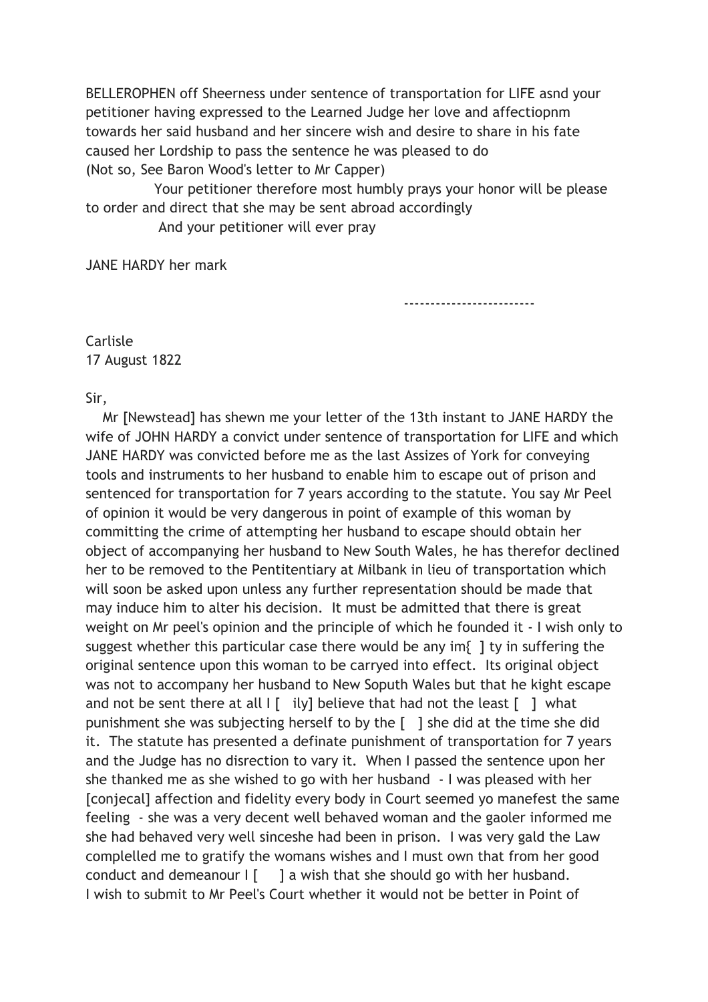BELLEROPHEN off Sheerness under sentence of transportation for LIFE asnd your petitioner having expressed to the Learned Judge her love and affectiopnm towards her said husband and her sincere wish and desire to share in his fate caused her Lordship to pass the sentence he was pleased to do (Not so, See Baron Wood's letter to Mr Capper)

Your petitioner therefore most humbly prays your honor will be please to order and direct that she may be sent abroad accordingly

And your petitioner will ever pray

JANE HARDY her mark

-------------------------

Carlisle 17 August 1822

Sir,

 Mr [Newstead] has shewn me your letter of the 13th instant to JANE HARDY the wife of JOHN HARDY a convict under sentence of transportation for LIFE and which JANE HARDY was convicted before me as the last Assizes of York for conveying tools and instruments to her husband to enable him to escape out of prison and sentenced for transportation for 7 years according to the statute. You say Mr Peel of opinion it would be very dangerous in point of example of this woman by committing the crime of attempting her husband to escape should obtain her object of accompanying her husband to New South Wales, he has therefor declined her to be removed to the Pentitentiary at Milbank in lieu of transportation which will soon be asked upon unless any further representation should be made that may induce him to alter his decision. It must be admitted that there is great weight on Mr peel's opinion and the principle of which he founded it - I wish only to suggest whether this particular case there would be any im{ ] ty in suffering the original sentence upon this woman to be carryed into effect. Its original object was not to accompany her husband to New Soputh Wales but that he kight escape and not be sent there at all  $\begin{bmatrix} 1 \\ 1 \end{bmatrix}$  ily] believe that had not the least  $\begin{bmatrix} 1 \\ 1 \end{bmatrix}$  what punishment she was subjecting herself to by the [ ] she did at the time she did it. The statute has presented a definate punishment of transportation for 7 years and the Judge has no disrection to vary it. When I passed the sentence upon her she thanked me as she wished to go with her husband - I was pleased with her [conjecal] affection and fidelity every body in Court seemed yo manefest the same feeling - she was a very decent well behaved woman and the gaoler informed me she had behaved very well sinceshe had been in prison. I was very gald the Law complelled me to gratify the womans wishes and I must own that from her good conduct and demeanour  $\begin{bmatrix} 1 & 1 \\ 1 & 2 \end{bmatrix}$  a wish that she should go with her husband. I wish to submit to Mr Peel's Court whether it would not be better in Point of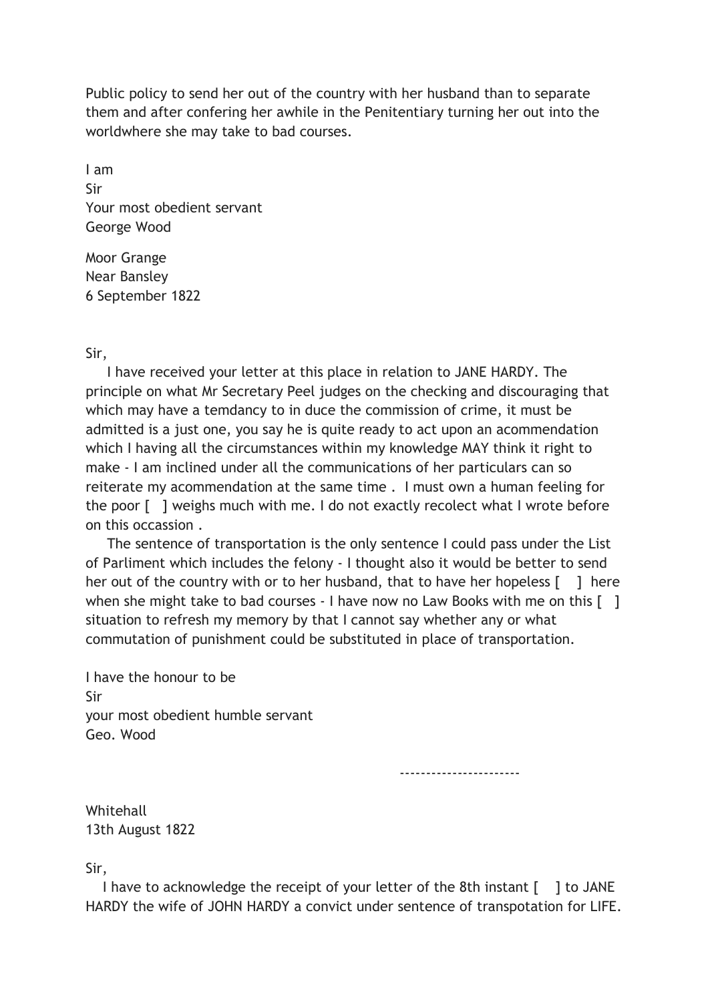Public policy to send her out of the country with her husband than to separate them and after confering her awhile in the Penitentiary turning her out into the worldwhere she may take to bad courses.

I am Sir Your most obedient servant George Wood

Moor Grange Near Bansley 6 September 1822

## Sir,

 I have received your letter at this place in relation to JANE HARDY. The principle on what Mr Secretary Peel judges on the checking and discouraging that which may have a temdancy to in duce the commission of crime, it must be admitted is a just one, you say he is quite ready to act upon an acommendation which I having all the circumstances within my knowledge MAY think it right to make - I am inclined under all the communications of her particulars can so reiterate my acommendation at the same time . I must own a human feeling for the poor [ ] weighs much with me. I do not exactly recolect what I wrote before on this occassion .

 The sentence of transportation is the only sentence I could pass under the List of Parliment which includes the felony - I thought also it would be better to send her out of the country with or to her husband, that to have her hopeless [ ] here when she might take to bad courses - I have now no Law Books with me on this [ ] situation to refresh my memory by that I cannot say whether any or what commutation of punishment could be substituted in place of transportation.

I have the honour to be Sir your most obedient humble servant Geo. Wood

-----------------------

Whitehall 13th August 1822

Sir,

I have to acknowledge the receipt of your letter of the 8th instant [ ] to JANE HARDY the wife of JOHN HARDY a convict under sentence of transpotation for LIFE.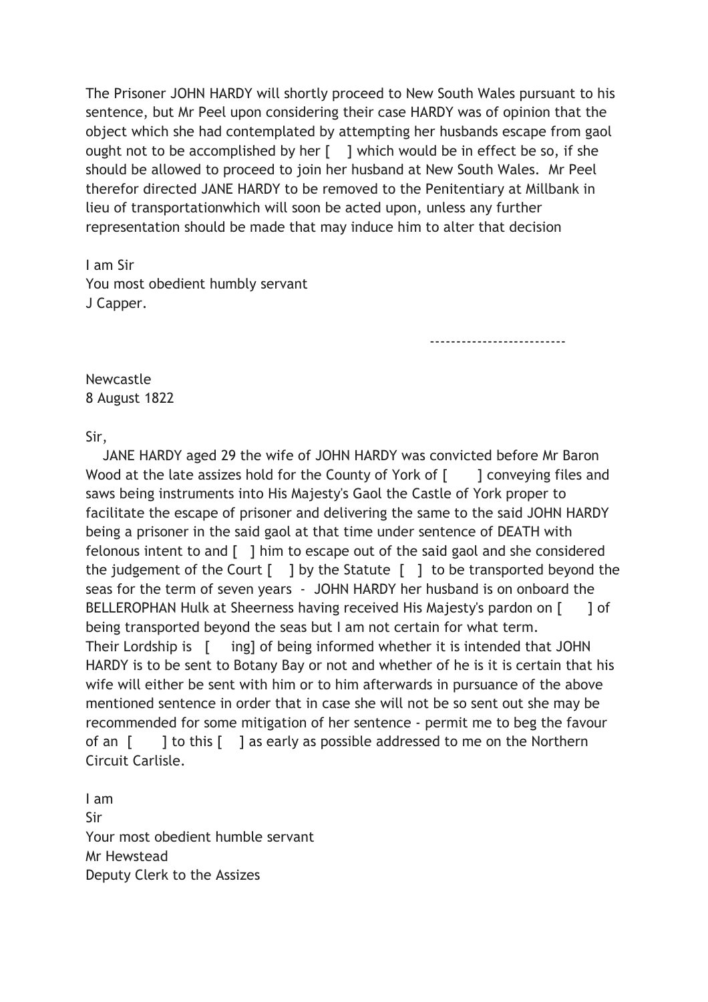The Prisoner JOHN HARDY will shortly proceed to New South Wales pursuant to his sentence, but Mr Peel upon considering their case HARDY was of opinion that the object which she had contemplated by attempting her husbands escape from gaol ought not to be accomplished by her [ ] which would be in effect be so, if she should be allowed to proceed to join her husband at New South Wales. Mr Peel therefor directed JANE HARDY to be removed to the Penitentiary at Millbank in lieu of transportationwhich will soon be acted upon, unless any further representation should be made that may induce him to alter that decision

I am Sir You most obedient humbly servant J Capper.

--------------------------

Newcastle 8 August 1822

## Sir,

 JANE HARDY aged 29 the wife of JOHN HARDY was convicted before Mr Baron Wood at the late assizes hold for the County of York of [ ] conveying files and saws being instruments into His Majesty's Gaol the Castle of York proper to facilitate the escape of prisoner and delivering the same to the said JOHN HARDY being a prisoner in the said gaol at that time under sentence of DEATH with felonous intent to and [ ] him to escape out of the said gaol and she considered the judgement of the Court  $\begin{bmatrix} 1 & 0 \end{bmatrix}$  by the Statute  $\begin{bmatrix} 1 & 1 \end{bmatrix}$  to be transported beyond the seas for the term of seven years - JOHN HARDY her husband is on onboard the BELLEROPHAN Hulk at Sheerness having received His Majesty's pardon on [ ] of being transported beyond the seas but I am not certain for what term. Their Lordship is [ ing] of being informed whether it is intended that JOHN HARDY is to be sent to Botany Bay or not and whether of he is it is certain that his wife will either be sent with him or to him afterwards in pursuance of the above mentioned sentence in order that in case she will not be so sent out she may be recommended for some mitigation of her sentence - permit me to beg the favour of an [ ] to this [ ] as early as possible addressed to me on the Northern Circuit Carlisle.

I am Sir Your most obedient humble servant Mr Hewstead Deputy Clerk to the Assizes